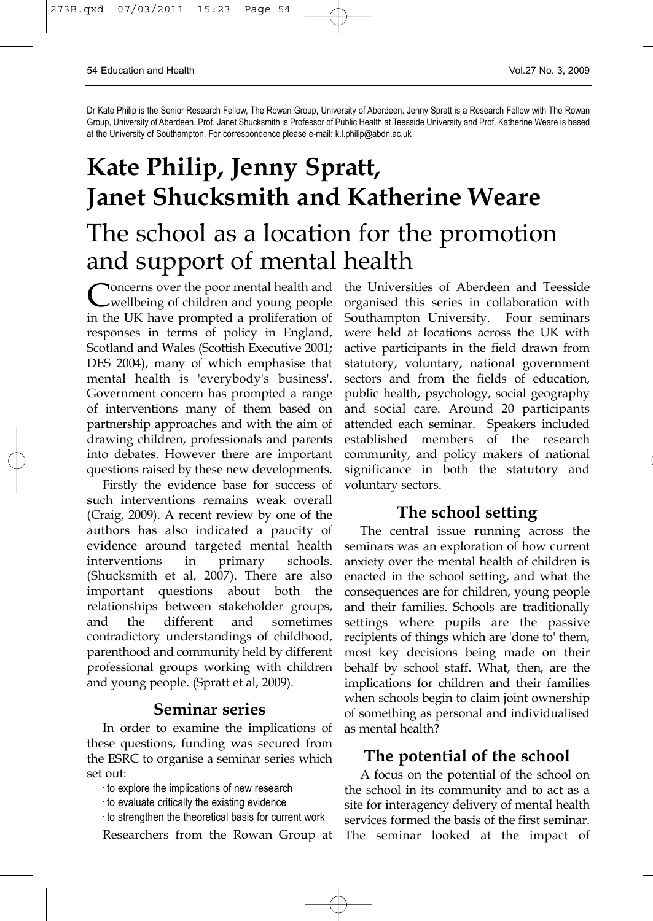Dr Kate Philip is the Senior Research Fellow, The Rowan Group, University of Aberdeen. Jenny Spratt is a Research Fellow with The Rowan Group, University of Aberdeen. Prof. Janet Shucksmith is Professor of Public Health at Teesside University and Prof. Katherine Weare is based at the University of Southampton. For correspondence please e-mail: k.l.philip@abdn.ac.uk

# **Kate Philip, Jenny Spratt, Janet Shucksmith and Katherine Weare** The school as a location for the promotion and support of mental health

Concerns over the poor mental health and<br>wellbeing of children and young people in the UK have prompted a proliferation of responses in terms of policy in England, Scotland and Wales (Scottish Executive 2001; DES 2004), many of which emphasise that mental health is 'everybody's business'. Government concern has prompted a range of interventions many of them based on partnership approaches and with the aim of drawing children, professionals and parents into debates. However there are important questions raised by these new developments.

Firstly the evidence base for success of such interventions remains weak overall (Craig, 2009). A recent review by one of the authors has also indicated a paucity of evidence around targeted mental health interventions in primary schools. (Shucksmith et al, 2007). There are also important questions about both the relationships between stakeholder groups, and the different and sometimes contradictory understandings of childhood, parenthood and community held by different professional groups working with children and young people. (Spratt et al, 2009).

# **Seminar series**

In order to examine the implications of these questions, funding was secured from the ESRC to organise a seminar series which set out:

· to explore the implications of new research

- · to evaluate critically the existing evidence
- · to strengthen the theoretical basis for current work

Researchers from the Rowan Group at

the Universities of Aberdeen and Teesside organised this series in collaboration with Southampton University. Four seminars were held at locations across the UK with active participants in the field drawn from statutory, voluntary, national government sectors and from the fields of education, public health, psychology, social geography and social care. Around 20 participants attended each seminar. Speakers included established members of the research community, and policy makers of national significance in both the statutory and voluntary sectors.

#### **The school setting**

The central issue running across the seminars was an exploration of how current anxiety over the mental health of children is enacted in the school setting, and what the consequences are for children, young people and their families. Schools are traditionally settings where pupils are the passive recipients of things which are 'done to' them, most key decisions being made on their behalf by school staff. What, then, are the implications for children and their families when schools begin to claim joint ownership of something as personal and individualised as mental health?

## **The potential of the school**

A focus on the potential of the school on the school in its community and to act as a site for interagency delivery of mental health services formed the basis of the first seminar. The seminar looked at the impact of